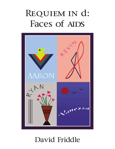# REQUIEM IN d: Faces of AIDS



# David Friddle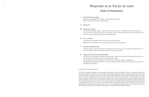### Requiem in d: Faces of aids

### **Order of Performance**

#### I. Introit & Passacaglia  *Requiem æternam dona eis, Domine: et lux perpetua luceat eis. Kyrie eleison. Christe eleison. Kyrie eleison.*

II. Psalm 22

#### III. Solomon's Song

 *On my bed night after night, I sought him whom my soul loves. I sought him but did not find him. I must arise now and go in the city, in the squares I must seek him whom my soul loves whom my soul loves. On my bed night after night, but did not find him.*

#### IV. O vos omnes

 *O daughters of Jerusalem. Weep not for me, but for yourselves. Behold and see if there be any sorrow like unto my sorrow, behold and see.*

#### V. Sanctus & Benedictus

 *Sanctus, Sanctus, Sanctus Dominus Deus Sabaoth. Pleni sunt cæli et terra gloria tua. Hosanna in ex celsis. Benedictus qui venit in nomine Domini. Hosanna in excelsis.*

# VI. Agnus Dei-Pie Jesu-Into Paradise

 *Agnus Dei, qui tollis peccata mundi, miserere nobis. Agnus Dei, qui tollis peccata mundi, miserere no bis. Agnus Dei, qui tollis peccata mundi, dona nobis pacem. Pie Jesu Domine, Dona eis requiem. Pie Jesu Domine, Dona eis requiem sempiternam. Into paradise may the angels lead you. At yout coming may the martyrs receive you and bring you into the holy city, Jerusalem.*

#### NOTES ON THE PERFORMANCE:

In the Introit, keep the flexibility of plainsong and fauxbourdon in mind; the rhythmic values are indicated necessarily for the sake of ensemble. The Christe was conceived as a free-spirited, gypsy-like dance, in keeping with the dance-like nature of the Passacaglia. The Soprano solo may use rubato while the underlying drone of the tenors and basses maintains a steady beat. All ornaments should be performed in the Baroque manner—freely and expressively, and on the beat. Clean voice indicates singing without vibrato. In each instance where there is spoken text, it should be performed sprechstimme, the parts maintaining some kind of unison without any definite pitch. I have highlighted the important syllables in the Psalm as a guide for artful enunciation. The solo in O vos omnes may have rhythmic latitude while maintaining the general beat, contrasting the choral sections, which are in a walking tempo. The beginning of the Sanctus is meant to be a build up of aural color; keep the tempo of the fugue within reason, so as to maintain polyphonic clarity. The solo quartet may perform the Benedictus, if desired. The solo quartet should sing as part of the choir preceding the Agnus..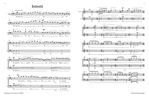### Introit











Introit & Passacaglia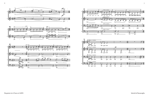









Introit & Passacaglia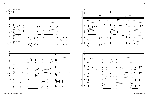







Introit & Passacaglia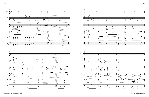







Introit & Passacaglia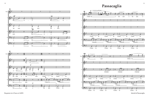







# **Passacaglia**

Introit & Passacaglia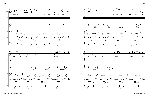





Introit & Passacaglia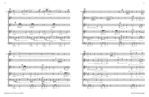







Introit & Passacaglia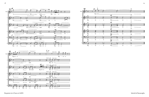





Introit & Passacaglia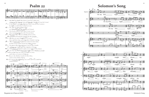





Requiem in d: Faces of AIDS

# **Psalm 22** 50lomon's Song

Solomon's Song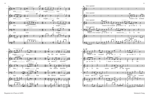







Solomon's Song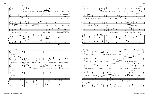







Solomon's Song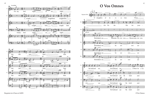S

A

T

 $\, {\bf B} \,$ 

p

p

 $^{\prime}$   $^{\prime}$   $^{\prime}$ 

**As at first**

 $^{\prime}$ - œ On my

38

<u>3</u><br>8  $\overline{5}$ 

∑

∑

<u>8</u>  $\overline{5}$ 

<u>8</u>  $\overline{5}$ 

<u>8</u>  $\bar{5}$ 

 $\overline{5}$ 

<u>8</u>  $\overline{5}$ 

 $m f$ 

 $m<sub>f</sub>$ 

S

A

T

 $\, {\bf B} \,$ 

 $\bigcirc$ 

43

 $\bigoplus$ 

 $\overline{\textbf{C}}$ 

<u>ား</u>

 $\pmb{\Phi}$ 

<u>.</u>

#œ

 $\tilde{\mathbf{f}}$ 

،<br>م

 $m$ 

 $\bm{\omega}$ 

 $\Phi$ 

<u>.</u>

 $\overline{\raisebox{1ex}{\O}8}$ 

<u>.</u>

.

.

œ



## **O Vos Omnes**





#˙

œ

 $\frac{1}{\mathbf{e}}$ 

 $\overline{\mathbf{e}}$ 

 $\overline{\bullet}$ 

œ

∑



O Vos Omnes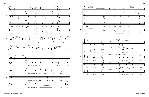



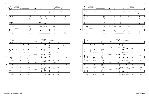



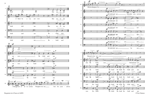

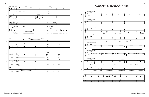Sanctus—Benedictus







# **Sanctus-Benedictus**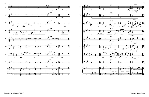

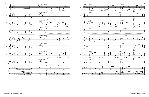

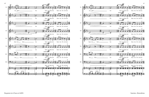

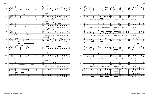

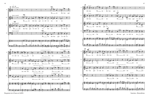Requiem in d: Faces of AIDS

45

Sanctus—Benedictus



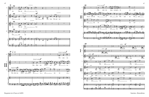Sanctus—Benedictus





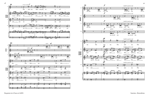Requiem in d: Faces of AIDS

Sanctus—Benedictus





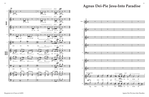





Agnus Dei-Pie Jesu-Into Paradise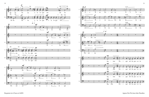Agnus Dei-Pie Jesu-Into Paradise



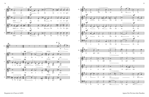

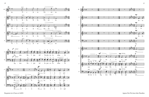







Requiem in d: Faces of AIDS

Agnus Dei-Pie Jesu-Into Paradise

57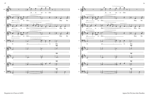

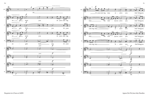

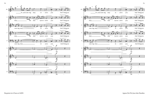

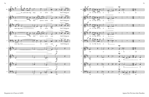